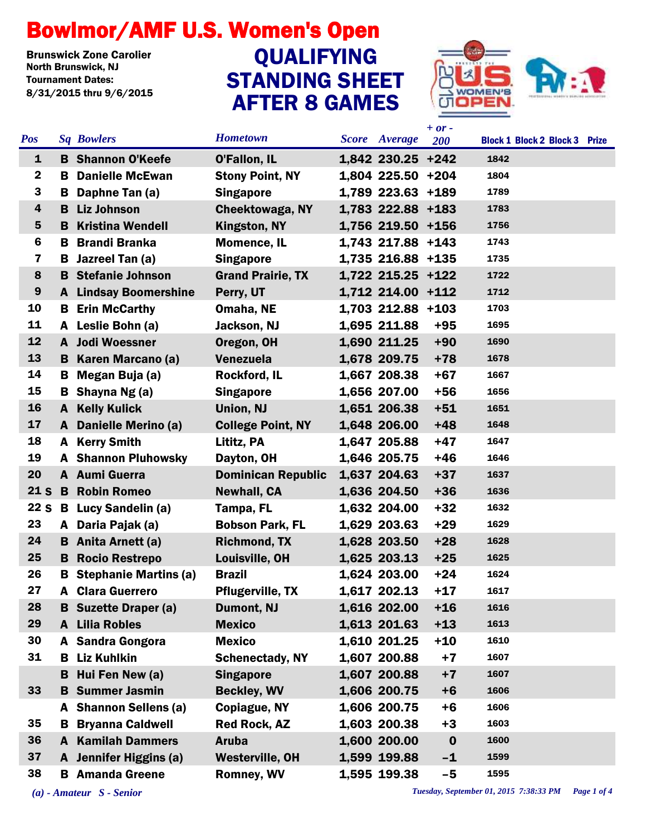## Bowlmor/AMF U.S. Women's Open

**Brunswick Zone Carolier<br>North Brunswick, NJ** Tournament Dates: 8/31/2015 thru 9/6/2015

## STANDING SHEET AFTER 8 GAMES **QUALIFYING**



|                 |    |                              |                           |                   | $+ or -$         |                                      |
|-----------------|----|------------------------------|---------------------------|-------------------|------------------|--------------------------------------|
| <b>Pos</b>      |    | <b>Sq Bowlers</b>            | <b>Hometown</b>           | Score Average     | 200              | <b>Block 1 Block 2 Block 3 Prize</b> |
| $\mathbf{1}$    |    | <b>B</b> Shannon O'Keefe     | <b>O'Fallon, IL</b>       | 1,842 230.25 +242 |                  | 1842                                 |
| $\mathbf{2}$    | B. | <b>Danielle McEwan</b>       | <b>Stony Point, NY</b>    | 1,804 225.50 +204 |                  | 1804                                 |
| 3               |    | <b>B</b> Daphne Tan (a)      | <b>Singapore</b>          | 1,789 223.63 +189 |                  | 1789                                 |
| 4               |    | <b>B</b> Liz Johnson         | <b>Cheektowaga, NY</b>    | 1,783 222.88 +183 |                  | 1783                                 |
| 5               |    | <b>B</b> Kristina Wendell    | <b>Kingston, NY</b>       | 1,756 219.50 +156 |                  | 1756                                 |
| 6               | B  | <b>Brandi Branka</b>         | <b>Momence, IL</b>        | 1,743 217.88 +143 |                  | 1743                                 |
| 7               | B. | Jazreel Tan (a)              | <b>Singapore</b>          | 1,735 216.88 +135 |                  | 1735                                 |
| 8               |    | <b>B</b> Stefanie Johnson    | <b>Grand Prairie, TX</b>  | 1,722 215.25 +122 |                  | 1722                                 |
| 9               |    | <b>A</b> Lindsay Boomershine | Perry, UT                 | 1,712 214.00 +112 |                  | 1712                                 |
| 10              | B  | <b>Erin McCarthy</b>         | Omaha, NE                 | 1,703 212.88 +103 |                  | 1703                                 |
| 11              |    | A Leslie Bohn (a)            | Jackson, NJ               | 1,695 211.88      | $+95$            | 1695                                 |
| 12              |    | A Jodi Woessner              | Oregon, OH                | 1,690 211.25      | $+90$            | 1690                                 |
| 13              |    | <b>B</b> Karen Marcano (a)   | <b>Venezuela</b>          | 1,678 209.75      | $+78$            | 1678                                 |
| 14              |    | <b>B</b> Megan Buja (a)      | <b>Rockford, IL</b>       | 1,667 208.38      | $+67$            | 1667                                 |
| 15              |    | <b>B</b> Shayna Ng $(a)$     | <b>Singapore</b>          | 1,656 207.00      | $+56$            | 1656                                 |
| 16              | A  | <b>Kelly Kulick</b>          | Union, NJ                 | 1,651 206.38      | $+51$            | 1651                                 |
| 17              |    | A Danielle Merino (a)        | <b>College Point, NY</b>  | 1,648 206.00      | $+48$            | 1648                                 |
| 18              | A  | <b>Kerry Smith</b>           | Lititz, PA                | 1,647 205.88      | $+47$            | 1647                                 |
| 19              |    | <b>A</b> Shannon Pluhowsky   | Dayton, OH                | 1,646 205.75      | $+46$            | 1646                                 |
| 20              |    | A Aumi Guerra                | <b>Dominican Republic</b> | 1,637 204.63      | $+37$            | 1637                                 |
| 21 <sub>S</sub> |    | <b>B</b> Robin Romeo         | <b>Newhall, CA</b>        | 1,636 204.50      | $+36$            | 1636                                 |
| <b>22 S</b>     |    | <b>B</b> Lucy Sandelin (a)   | Tampa, FL                 | 1,632 204.00      | $+32$            | 1632                                 |
| 23              |    | A Daria Pajak (a)            | <b>Bobson Park, FL</b>    | 1,629 203.63      | $+29$            | 1629                                 |
| 24              |    | <b>B</b> Anita Arnett (a)    | <b>Richmond, TX</b>       | 1,628 203.50      | $+28$            | 1628                                 |
| 25              |    | <b>B</b> Rocio Restrepo      | Louisville, OH            | 1,625 203.13      | $+25$            | 1625                                 |
| 26              | B  | <b>Stephanie Martins (a)</b> | <b>Brazil</b>             | 1,624 203.00      | $+24$            | 1624                                 |
| 27              | A  | <b>Clara Guerrero</b>        | <b>Pflugerville, TX</b>   | 1,617 202.13      | $+17$            | 1617                                 |
| 28              |    | <b>B</b> Suzette Draper (a)  | Dumont, NJ                | 1,616 202.00      | $+16$            | 1616                                 |
| 29              |    | <b>A</b> Lilia Robles        | <b>Mexico</b>             | 1,613 201.63      | $+13$            | 1613                                 |
| 30              |    | A Sandra Gongora             | <b>Mexico</b>             | 1,610 201.25      | $+10$            | 1610                                 |
| 31              |    | <b>B</b> Liz Kuhlkin         | <b>Schenectady, NY</b>    | 1,607 200.88      | $+7$             | 1607                                 |
|                 | B  | Hui Fen New (a)              | <b>Singapore</b>          | 1,607 200.88      | $+7$             | 1607                                 |
| 33              |    | <b>B</b> Summer Jasmin       | <b>Beckley, WV</b>        | 1,606 200.75      | $+6$             | 1606                                 |
|                 |    | A Shannon Sellens (a)        | Copiague, NY              | 1,606 200.75      | $+6$             | 1606                                 |
| 35              | B  | <b>Bryanna Caldwell</b>      | <b>Red Rock, AZ</b>       | 1,603 200.38      | $+3$             | 1603                                 |
| 36              |    | <b>A</b> Kamilah Dammers     | <b>Aruba</b>              | 1,600 200.00      | $\boldsymbol{0}$ | 1600                                 |
| 37              |    | A Jennifer Higgins (a)       | <b>Westerville, OH</b>    | 1,599 199.88      | $-1$             | 1599                                 |
| 38              |    | <b>B</b> Amanda Greene       | <b>Romney, WV</b>         | 1,595 199.38      | $-5$             | 1595                                 |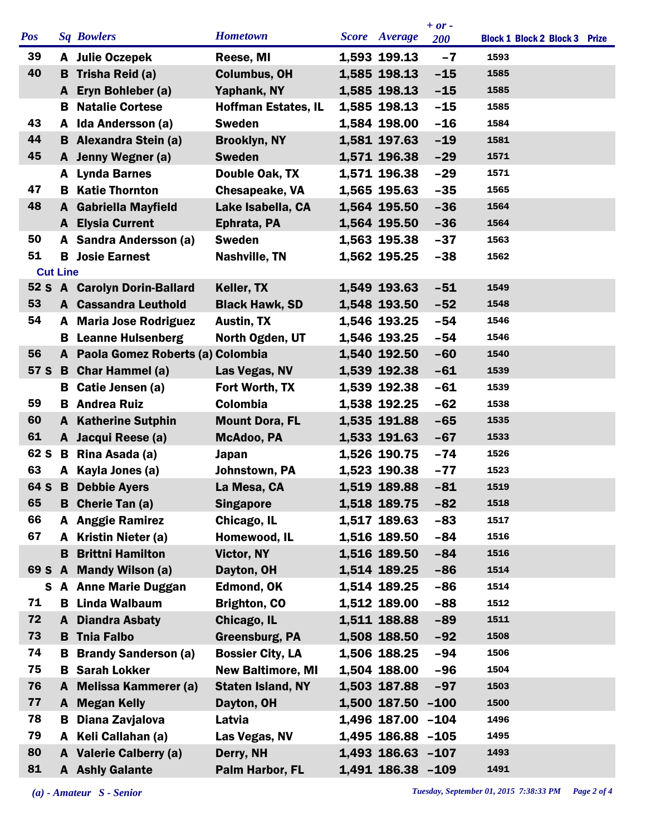|            |                 |                                    |                            |                   | $+ or -$   |                                      |
|------------|-----------------|------------------------------------|----------------------------|-------------------|------------|--------------------------------------|
| <b>Pos</b> |                 | <b>Sq Bowlers</b>                  | <b>Hometown</b>            | Score Average     | <b>200</b> | <b>Block 1 Block 2 Block 3 Prize</b> |
| 39         |                 | A Julie Oczepek                    | Reese, MI                  | 1,593 199.13      | $-7$       | 1593                                 |
| 40         | в               | Trisha Reid (a)                    | <b>Columbus, OH</b>        | 1,585 198.13      | $-15$      | 1585                                 |
|            |                 | A Eryn Bohleber (a)                | Yaphank, NY                | 1,585 198.13      | $-15$      | 1585                                 |
|            | в               | <b>Natalie Cortese</b>             | <b>Hoffman Estates, IL</b> | 1,585 198.13      | $-15$      | 1585                                 |
| 43         |                 | A Ida Andersson (a)                | <b>Sweden</b>              | 1,584 198.00      | $-16$      | 1584                                 |
| 44         |                 | <b>B</b> Alexandra Stein (a)       | <b>Brooklyn, NY</b>        | 1,581 197.63      | $-19$      | 1581                                 |
| 45         |                 | A Jenny Wegner (a)                 | <b>Sweden</b>              | 1,571 196.38      | $-29$      | 1571                                 |
|            |                 | A Lynda Barnes                     | Double Oak, TX             | 1,571 196.38      | $-29$      | 1571                                 |
| 47         |                 | <b>B</b> Katie Thornton            | <b>Chesapeake, VA</b>      | 1,565 195.63      | $-35$      | 1565                                 |
| 48         | A               | <b>Gabriella Mayfield</b>          | Lake Isabella, CA          | 1,564 195.50      | $-36$      | 1564                                 |
|            |                 | <b>A</b> Elysia Current            | Ephrata, PA                | 1,564 195.50      | $-36$      | 1564                                 |
| 50         |                 | A Sandra Andersson (a)             | <b>Sweden</b>              | 1,563 195.38      | $-37$      | 1563                                 |
| 51         |                 | <b>B</b> Josie Earnest             | <b>Nashville, TN</b>       | 1,562 195.25      | $-38$      | 1562                                 |
|            | <b>Cut Line</b> |                                    |                            |                   |            |                                      |
|            |                 | 52 S A Carolyn Dorin-Ballard       | Keller, TX                 | 1,549 193.63      | $-51$      | 1549                                 |
| 53         |                 | <b>A</b> Cassandra Leuthold        | <b>Black Hawk, SD</b>      | 1,548 193.50      | $-52$      | 1548                                 |
| 54         |                 |                                    |                            |                   |            |                                      |
|            | A               | <b>Maria Jose Rodriguez</b>        | <b>Austin, TX</b>          | 1,546 193.25      | $-54$      | 1546                                 |
|            | в               | <b>Leanne Hulsenberg</b>           | North Ogden, UT            | 1,546 193.25      | $-54$      | 1546                                 |
| 56         |                 | A Paola Gomez Roberts (a) Colombia |                            | 1,540 192.50      | $-60$      | 1540                                 |
| 57 S       |                 | <b>B</b> Char Hammel (a)           | Las Vegas, NV              | 1,539 192.38      | $-61$      | 1539                                 |
|            | в               | Catie Jensen (a)                   | Fort Worth, TX             | 1,539 192.38      | $-61$      | 1539                                 |
| 59         |                 | <b>B</b> Andrea Ruiz               | Colombia                   | 1,538 192.25      | $-62$      | 1538                                 |
| 60         | A               | <b>Katherine Sutphin</b>           | <b>Mount Dora, FL</b>      | 1,535 191.88      | $-65$      | 1535                                 |
| 61         |                 | A Jacqui Reese (a)                 | McAdoo, PA                 | 1,533 191.63      | $-67$      | 1533                                 |
| 62 S       | B               | Rina Asada (a)                     | Japan                      | 1,526 190.75      | $-74$      | 1526                                 |
| 63         |                 | A Kayla Jones (a)                  | Johnstown, PA              | 1,523 190.38      | $-77$      | 1523                                 |
| 64 S       | B               | <b>Debbie Ayers</b>                | La Mesa, CA                | 1,519 189.88      | $-81$      | 1519                                 |
| 65         |                 | <b>B</b> Cherie Tan (a)            | <b>Singapore</b>           | 1,518 189.75      | $-82$      | 1518                                 |
| 66         |                 | <b>Anggie Ramirez</b>              | Chicago, IL                | 1,517 189.63      | $-83$      | 1517                                 |
| 67         |                 | A Kristin Nieter (a)               | Homewood, IL               | 1,516 189.50      | $-84$      | 1516                                 |
|            | в               | <b>Brittni Hamilton</b>            | Victor, NY                 | 1,516 189.50      | $-84$      | 1516                                 |
|            |                 | 69 S A Mandy Wilson (a)            | Dayton, OH                 | 1,514 189.25      | $-86$      | 1514                                 |
| S.         |                 | <b>A</b> Anne Marie Duggan         | <b>Edmond, OK</b>          | 1,514 189.25      | $-86$      | 1514                                 |
| 71         |                 | <b>B</b> Linda Walbaum             | <b>Brighton, CO</b>        | 1,512 189.00      | $-88$      | 1512                                 |
| 72         |                 | A Diandra Asbaty                   | Chicago, IL                | 1,511 188.88      | $-89$      | 1511                                 |
| 73         |                 | <b>B</b> Tnia Falbo                | <b>Greensburg, PA</b>      | 1,508 188.50      | $-92$      | 1508                                 |
| 74         | в               | <b>Brandy Sanderson (a)</b>        | <b>Bossier City, LA</b>    | 1,506 188.25      | $-94$      | 1506                                 |
| 75         | В               | <b>Sarah Lokker</b>                | <b>New Baltimore, MI</b>   | 1,504 188.00      | $-96$      | 1504                                 |
| 76         | A               | <b>Melissa Kammerer (a)</b>        | <b>Staten Island, NY</b>   | 1,503 187.88      | $-97$      | 1503                                 |
| 77         |                 | <b>A</b> Megan Kelly               | Dayton, OH                 | 1,500 187.50      | $-100$     | 1500                                 |
| 78         | В               |                                    | Latvia                     | 1,496 187.00 -104 |            | 1496                                 |
|            |                 | Diana Zavjalova                    |                            |                   |            |                                      |
| 79         |                 | A Keli Callahan (a)                | Las Vegas, NV              | 1,495 186.88 -105 |            | 1495                                 |
| 80         |                 | A Valerie Calberry (a)             | Derry, NH                  | 1,493 186.63 -107 |            | 1493                                 |
| 81         |                 | <b>A</b> Ashly Galante             | Palm Harbor, FL            | 1,491 186.38 -109 |            | 1491                                 |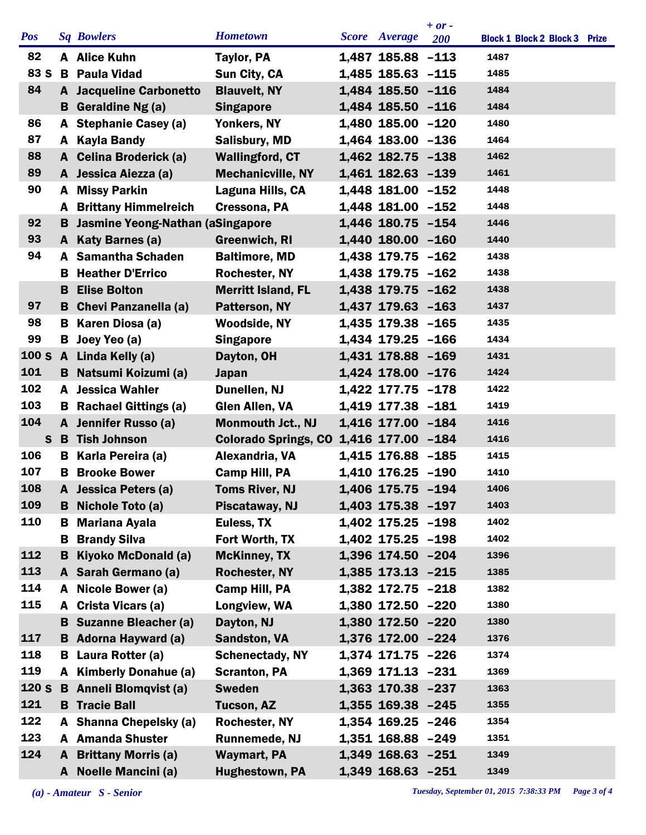| <b>Hometown</b><br><b>Pos</b><br><b>Sq Bowlers</b><br>Score Average<br><b>Block 1 Block 2 Block 3 Prize</b><br><b>200</b><br>82<br>1,487 185.88 -113<br>1487<br>A Alice Kuhn<br><b>Taylor, PA</b><br>83 S<br><b>B</b> Paula Vidad<br>1,485 185.63 -115<br>1485<br>Sun City, CA<br>84<br><b>Blauvelt, NY</b><br>1,484 185.50 -116<br>1484<br><b>A</b> Jacqueline Carbonetto<br>1,484 185.50 -116<br>1484<br><b>B</b> Geraldine Ng (a)<br><b>Singapore</b><br>86<br>A Stephanie Casey (a)<br>1,480 185.00 -120<br>1480<br>Yonkers, NY<br>87<br>1,464 183.00 -136<br><b>Kayla Bandy</b><br>1464<br><b>Salisbury, MD</b><br>A<br>88<br>A Celina Broderick (a)<br><b>Wallingford, CT</b><br>1,462 182.75 -138<br>1462<br>89<br><b>Mechanicville, NY</b><br>1,461 182.63 -139<br>1461<br>A Jessica Aiezza (a)<br>90<br>1,448 181.00 -152<br>1448<br>A Missy Parkin<br>Laguna Hills, CA<br>1,448 181.00 -152<br>1448<br><b>A</b> Brittany Himmelreich<br>Cressona, PA<br>92<br><b>B</b> Jasmine Yeong-Nathan (aSingapore<br>1,446 180.75 -154<br>1446<br>93<br>1,440 180.00 -160<br>1440<br>A Katy Barnes (a)<br><b>Greenwich, RI</b><br>94<br>1,438 179.75 -162<br><b>Samantha Schaden</b><br><b>Baltimore, MD</b><br>1438<br>A<br>1,438 179.75 -162<br><b>Heather D'Errico</b><br><b>Rochester, NY</b><br>1438<br>в<br><b>Elise Bolton</b><br><b>Merritt Island, FL</b><br>1,438 179.75 -162<br>1438<br>B<br>1,437 179.63 -163<br>97<br><b>B</b> Chevi Panzanella (a)<br>Patterson, NY<br>1437<br>98<br>1,435 179.38 -165<br>Karen Diosa (a)<br><b>Woodside, NY</b><br>1435<br>в<br>99<br>1,434 179.25 -166<br>B Joey Yeo (a)<br>1434<br><b>Singapore</b><br>100S<br>A Linda Kelly (a)<br>1,431 178.88 -169<br>Dayton, OH<br>1431<br>101<br>1,424 178.00 -176<br><b>B</b> Natsumi Koizumi (a)<br>1424<br><b>Japan</b><br>102<br>1,422 177.75 -178<br>A Jessica Wahler<br>1422<br>Dunellen, NJ<br>103<br>1,419 177.38 -181<br>1419<br><b>Rachael Gittings (a)</b><br><b>Glen Allen, VA</b><br>B.<br>104<br>Jennifer Russo (a)<br>1,416 177.00 -184<br><b>Monmouth Jct., NJ</b><br>1416<br>$\mathbf{A}$<br><b>S</b> B Tish Johnson<br>Colorado Springs, CO 1,416 177.00 -184<br>1416<br>106<br>1,415 176.88 -185<br>1415<br>Karla Pereira (a)<br>Alexandria, VA<br>в<br>107<br><b>Brooke Bower</b><br><b>Camp Hill, PA</b><br>1,410 176.25 -190<br>1410<br>B<br>108<br>1,406 175.75 -194<br><b>Toms River, NJ</b><br>1406<br>Jessica Peters (a)<br>109<br>1403<br><b>B</b> Nichole Toto (a)<br>1,403 175.38 -197<br>Piscataway, NJ |
|-----------------------------------------------------------------------------------------------------------------------------------------------------------------------------------------------------------------------------------------------------------------------------------------------------------------------------------------------------------------------------------------------------------------------------------------------------------------------------------------------------------------------------------------------------------------------------------------------------------------------------------------------------------------------------------------------------------------------------------------------------------------------------------------------------------------------------------------------------------------------------------------------------------------------------------------------------------------------------------------------------------------------------------------------------------------------------------------------------------------------------------------------------------------------------------------------------------------------------------------------------------------------------------------------------------------------------------------------------------------------------------------------------------------------------------------------------------------------------------------------------------------------------------------------------------------------------------------------------------------------------------------------------------------------------------------------------------------------------------------------------------------------------------------------------------------------------------------------------------------------------------------------------------------------------------------------------------------------------------------------------------------------------------------------------------------------------------------------------------------------------------------------------------------------------------------------------------------------------------------------------------------------------------------------------------------------------------------------------------------------------------------------------------------------------------------------------------------------------------------------------------------------------|
|                                                                                                                                                                                                                                                                                                                                                                                                                                                                                                                                                                                                                                                                                                                                                                                                                                                                                                                                                                                                                                                                                                                                                                                                                                                                                                                                                                                                                                                                                                                                                                                                                                                                                                                                                                                                                                                                                                                                                                                                                                                                                                                                                                                                                                                                                                                                                                                                                                                                                                                             |
|                                                                                                                                                                                                                                                                                                                                                                                                                                                                                                                                                                                                                                                                                                                                                                                                                                                                                                                                                                                                                                                                                                                                                                                                                                                                                                                                                                                                                                                                                                                                                                                                                                                                                                                                                                                                                                                                                                                                                                                                                                                                                                                                                                                                                                                                                                                                                                                                                                                                                                                             |
|                                                                                                                                                                                                                                                                                                                                                                                                                                                                                                                                                                                                                                                                                                                                                                                                                                                                                                                                                                                                                                                                                                                                                                                                                                                                                                                                                                                                                                                                                                                                                                                                                                                                                                                                                                                                                                                                                                                                                                                                                                                                                                                                                                                                                                                                                                                                                                                                                                                                                                                             |
|                                                                                                                                                                                                                                                                                                                                                                                                                                                                                                                                                                                                                                                                                                                                                                                                                                                                                                                                                                                                                                                                                                                                                                                                                                                                                                                                                                                                                                                                                                                                                                                                                                                                                                                                                                                                                                                                                                                                                                                                                                                                                                                                                                                                                                                                                                                                                                                                                                                                                                                             |
|                                                                                                                                                                                                                                                                                                                                                                                                                                                                                                                                                                                                                                                                                                                                                                                                                                                                                                                                                                                                                                                                                                                                                                                                                                                                                                                                                                                                                                                                                                                                                                                                                                                                                                                                                                                                                                                                                                                                                                                                                                                                                                                                                                                                                                                                                                                                                                                                                                                                                                                             |
|                                                                                                                                                                                                                                                                                                                                                                                                                                                                                                                                                                                                                                                                                                                                                                                                                                                                                                                                                                                                                                                                                                                                                                                                                                                                                                                                                                                                                                                                                                                                                                                                                                                                                                                                                                                                                                                                                                                                                                                                                                                                                                                                                                                                                                                                                                                                                                                                                                                                                                                             |
|                                                                                                                                                                                                                                                                                                                                                                                                                                                                                                                                                                                                                                                                                                                                                                                                                                                                                                                                                                                                                                                                                                                                                                                                                                                                                                                                                                                                                                                                                                                                                                                                                                                                                                                                                                                                                                                                                                                                                                                                                                                                                                                                                                                                                                                                                                                                                                                                                                                                                                                             |
|                                                                                                                                                                                                                                                                                                                                                                                                                                                                                                                                                                                                                                                                                                                                                                                                                                                                                                                                                                                                                                                                                                                                                                                                                                                                                                                                                                                                                                                                                                                                                                                                                                                                                                                                                                                                                                                                                                                                                                                                                                                                                                                                                                                                                                                                                                                                                                                                                                                                                                                             |
|                                                                                                                                                                                                                                                                                                                                                                                                                                                                                                                                                                                                                                                                                                                                                                                                                                                                                                                                                                                                                                                                                                                                                                                                                                                                                                                                                                                                                                                                                                                                                                                                                                                                                                                                                                                                                                                                                                                                                                                                                                                                                                                                                                                                                                                                                                                                                                                                                                                                                                                             |
|                                                                                                                                                                                                                                                                                                                                                                                                                                                                                                                                                                                                                                                                                                                                                                                                                                                                                                                                                                                                                                                                                                                                                                                                                                                                                                                                                                                                                                                                                                                                                                                                                                                                                                                                                                                                                                                                                                                                                                                                                                                                                                                                                                                                                                                                                                                                                                                                                                                                                                                             |
|                                                                                                                                                                                                                                                                                                                                                                                                                                                                                                                                                                                                                                                                                                                                                                                                                                                                                                                                                                                                                                                                                                                                                                                                                                                                                                                                                                                                                                                                                                                                                                                                                                                                                                                                                                                                                                                                                                                                                                                                                                                                                                                                                                                                                                                                                                                                                                                                                                                                                                                             |
|                                                                                                                                                                                                                                                                                                                                                                                                                                                                                                                                                                                                                                                                                                                                                                                                                                                                                                                                                                                                                                                                                                                                                                                                                                                                                                                                                                                                                                                                                                                                                                                                                                                                                                                                                                                                                                                                                                                                                                                                                                                                                                                                                                                                                                                                                                                                                                                                                                                                                                                             |
|                                                                                                                                                                                                                                                                                                                                                                                                                                                                                                                                                                                                                                                                                                                                                                                                                                                                                                                                                                                                                                                                                                                                                                                                                                                                                                                                                                                                                                                                                                                                                                                                                                                                                                                                                                                                                                                                                                                                                                                                                                                                                                                                                                                                                                                                                                                                                                                                                                                                                                                             |
|                                                                                                                                                                                                                                                                                                                                                                                                                                                                                                                                                                                                                                                                                                                                                                                                                                                                                                                                                                                                                                                                                                                                                                                                                                                                                                                                                                                                                                                                                                                                                                                                                                                                                                                                                                                                                                                                                                                                                                                                                                                                                                                                                                                                                                                                                                                                                                                                                                                                                                                             |
|                                                                                                                                                                                                                                                                                                                                                                                                                                                                                                                                                                                                                                                                                                                                                                                                                                                                                                                                                                                                                                                                                                                                                                                                                                                                                                                                                                                                                                                                                                                                                                                                                                                                                                                                                                                                                                                                                                                                                                                                                                                                                                                                                                                                                                                                                                                                                                                                                                                                                                                             |
|                                                                                                                                                                                                                                                                                                                                                                                                                                                                                                                                                                                                                                                                                                                                                                                                                                                                                                                                                                                                                                                                                                                                                                                                                                                                                                                                                                                                                                                                                                                                                                                                                                                                                                                                                                                                                                                                                                                                                                                                                                                                                                                                                                                                                                                                                                                                                                                                                                                                                                                             |
|                                                                                                                                                                                                                                                                                                                                                                                                                                                                                                                                                                                                                                                                                                                                                                                                                                                                                                                                                                                                                                                                                                                                                                                                                                                                                                                                                                                                                                                                                                                                                                                                                                                                                                                                                                                                                                                                                                                                                                                                                                                                                                                                                                                                                                                                                                                                                                                                                                                                                                                             |
|                                                                                                                                                                                                                                                                                                                                                                                                                                                                                                                                                                                                                                                                                                                                                                                                                                                                                                                                                                                                                                                                                                                                                                                                                                                                                                                                                                                                                                                                                                                                                                                                                                                                                                                                                                                                                                                                                                                                                                                                                                                                                                                                                                                                                                                                                                                                                                                                                                                                                                                             |
|                                                                                                                                                                                                                                                                                                                                                                                                                                                                                                                                                                                                                                                                                                                                                                                                                                                                                                                                                                                                                                                                                                                                                                                                                                                                                                                                                                                                                                                                                                                                                                                                                                                                                                                                                                                                                                                                                                                                                                                                                                                                                                                                                                                                                                                                                                                                                                                                                                                                                                                             |
|                                                                                                                                                                                                                                                                                                                                                                                                                                                                                                                                                                                                                                                                                                                                                                                                                                                                                                                                                                                                                                                                                                                                                                                                                                                                                                                                                                                                                                                                                                                                                                                                                                                                                                                                                                                                                                                                                                                                                                                                                                                                                                                                                                                                                                                                                                                                                                                                                                                                                                                             |
|                                                                                                                                                                                                                                                                                                                                                                                                                                                                                                                                                                                                                                                                                                                                                                                                                                                                                                                                                                                                                                                                                                                                                                                                                                                                                                                                                                                                                                                                                                                                                                                                                                                                                                                                                                                                                                                                                                                                                                                                                                                                                                                                                                                                                                                                                                                                                                                                                                                                                                                             |
|                                                                                                                                                                                                                                                                                                                                                                                                                                                                                                                                                                                                                                                                                                                                                                                                                                                                                                                                                                                                                                                                                                                                                                                                                                                                                                                                                                                                                                                                                                                                                                                                                                                                                                                                                                                                                                                                                                                                                                                                                                                                                                                                                                                                                                                                                                                                                                                                                                                                                                                             |
|                                                                                                                                                                                                                                                                                                                                                                                                                                                                                                                                                                                                                                                                                                                                                                                                                                                                                                                                                                                                                                                                                                                                                                                                                                                                                                                                                                                                                                                                                                                                                                                                                                                                                                                                                                                                                                                                                                                                                                                                                                                                                                                                                                                                                                                                                                                                                                                                                                                                                                                             |
|                                                                                                                                                                                                                                                                                                                                                                                                                                                                                                                                                                                                                                                                                                                                                                                                                                                                                                                                                                                                                                                                                                                                                                                                                                                                                                                                                                                                                                                                                                                                                                                                                                                                                                                                                                                                                                                                                                                                                                                                                                                                                                                                                                                                                                                                                                                                                                                                                                                                                                                             |
|                                                                                                                                                                                                                                                                                                                                                                                                                                                                                                                                                                                                                                                                                                                                                                                                                                                                                                                                                                                                                                                                                                                                                                                                                                                                                                                                                                                                                                                                                                                                                                                                                                                                                                                                                                                                                                                                                                                                                                                                                                                                                                                                                                                                                                                                                                                                                                                                                                                                                                                             |
|                                                                                                                                                                                                                                                                                                                                                                                                                                                                                                                                                                                                                                                                                                                                                                                                                                                                                                                                                                                                                                                                                                                                                                                                                                                                                                                                                                                                                                                                                                                                                                                                                                                                                                                                                                                                                                                                                                                                                                                                                                                                                                                                                                                                                                                                                                                                                                                                                                                                                                                             |
|                                                                                                                                                                                                                                                                                                                                                                                                                                                                                                                                                                                                                                                                                                                                                                                                                                                                                                                                                                                                                                                                                                                                                                                                                                                                                                                                                                                                                                                                                                                                                                                                                                                                                                                                                                                                                                                                                                                                                                                                                                                                                                                                                                                                                                                                                                                                                                                                                                                                                                                             |
|                                                                                                                                                                                                                                                                                                                                                                                                                                                                                                                                                                                                                                                                                                                                                                                                                                                                                                                                                                                                                                                                                                                                                                                                                                                                                                                                                                                                                                                                                                                                                                                                                                                                                                                                                                                                                                                                                                                                                                                                                                                                                                                                                                                                                                                                                                                                                                                                                                                                                                                             |
|                                                                                                                                                                                                                                                                                                                                                                                                                                                                                                                                                                                                                                                                                                                                                                                                                                                                                                                                                                                                                                                                                                                                                                                                                                                                                                                                                                                                                                                                                                                                                                                                                                                                                                                                                                                                                                                                                                                                                                                                                                                                                                                                                                                                                                                                                                                                                                                                                                                                                                                             |
| 110<br>1,402 175.25 -198<br>1402<br><b>Mariana Ayala</b><br>Euless, TX<br>В                                                                                                                                                                                                                                                                                                                                                                                                                                                                                                                                                                                                                                                                                                                                                                                                                                                                                                                                                                                                                                                                                                                                                                                                                                                                                                                                                                                                                                                                                                                                                                                                                                                                                                                                                                                                                                                                                                                                                                                                                                                                                                                                                                                                                                                                                                                                                                                                                                                 |
| <b>B</b> Brandy Silva<br>1,402 175.25 -198<br>1402<br>Fort Worth, TX                                                                                                                                                                                                                                                                                                                                                                                                                                                                                                                                                                                                                                                                                                                                                                                                                                                                                                                                                                                                                                                                                                                                                                                                                                                                                                                                                                                                                                                                                                                                                                                                                                                                                                                                                                                                                                                                                                                                                                                                                                                                                                                                                                                                                                                                                                                                                                                                                                                        |
| 112<br>1,396 174.50 -204<br>Kiyoko McDonald (a)<br><b>McKinney, TX</b><br>1396<br>B                                                                                                                                                                                                                                                                                                                                                                                                                                                                                                                                                                                                                                                                                                                                                                                                                                                                                                                                                                                                                                                                                                                                                                                                                                                                                                                                                                                                                                                                                                                                                                                                                                                                                                                                                                                                                                                                                                                                                                                                                                                                                                                                                                                                                                                                                                                                                                                                                                         |
| 113<br>A Sarah Germano (a)<br>Rochester, NY<br>1,385 173.13 -215<br>1385                                                                                                                                                                                                                                                                                                                                                                                                                                                                                                                                                                                                                                                                                                                                                                                                                                                                                                                                                                                                                                                                                                                                                                                                                                                                                                                                                                                                                                                                                                                                                                                                                                                                                                                                                                                                                                                                                                                                                                                                                                                                                                                                                                                                                                                                                                                                                                                                                                                    |
| 114<br>1,382 172.75 -218<br>1382<br>A Nicole Bower (a)<br>Camp Hill, PA                                                                                                                                                                                                                                                                                                                                                                                                                                                                                                                                                                                                                                                                                                                                                                                                                                                                                                                                                                                                                                                                                                                                                                                                                                                                                                                                                                                                                                                                                                                                                                                                                                                                                                                                                                                                                                                                                                                                                                                                                                                                                                                                                                                                                                                                                                                                                                                                                                                     |
| 115<br>1,380 172.50 -220<br>1380<br>A Crista Vicars (a)<br>Longview, WA                                                                                                                                                                                                                                                                                                                                                                                                                                                                                                                                                                                                                                                                                                                                                                                                                                                                                                                                                                                                                                                                                                                                                                                                                                                                                                                                                                                                                                                                                                                                                                                                                                                                                                                                                                                                                                                                                                                                                                                                                                                                                                                                                                                                                                                                                                                                                                                                                                                     |
| 1,380 172.50 -220<br><b>B</b> Suzanne Bleacher (a)<br>Dayton, NJ<br>1380                                                                                                                                                                                                                                                                                                                                                                                                                                                                                                                                                                                                                                                                                                                                                                                                                                                                                                                                                                                                                                                                                                                                                                                                                                                                                                                                                                                                                                                                                                                                                                                                                                                                                                                                                                                                                                                                                                                                                                                                                                                                                                                                                                                                                                                                                                                                                                                                                                                    |
| 117<br>1,376 172.00 -224<br><b>B</b> Adorna Hayward (a)<br><b>Sandston, VA</b><br>1376                                                                                                                                                                                                                                                                                                                                                                                                                                                                                                                                                                                                                                                                                                                                                                                                                                                                                                                                                                                                                                                                                                                                                                                                                                                                                                                                                                                                                                                                                                                                                                                                                                                                                                                                                                                                                                                                                                                                                                                                                                                                                                                                                                                                                                                                                                                                                                                                                                      |
| 118<br><b>B</b> Laura Rotter (a)<br><b>Schenectady, NY</b><br>1,374 171.75 -226<br>1374                                                                                                                                                                                                                                                                                                                                                                                                                                                                                                                                                                                                                                                                                                                                                                                                                                                                                                                                                                                                                                                                                                                                                                                                                                                                                                                                                                                                                                                                                                                                                                                                                                                                                                                                                                                                                                                                                                                                                                                                                                                                                                                                                                                                                                                                                                                                                                                                                                     |
| 119<br>A Kimberly Donahue (a)<br>1,369 171.13 -231<br><b>Scranton, PA</b><br>1369                                                                                                                                                                                                                                                                                                                                                                                                                                                                                                                                                                                                                                                                                                                                                                                                                                                                                                                                                                                                                                                                                                                                                                                                                                                                                                                                                                                                                                                                                                                                                                                                                                                                                                                                                                                                                                                                                                                                                                                                                                                                                                                                                                                                                                                                                                                                                                                                                                           |
| 120 S<br><b>B</b> Anneli Blomqvist (a)<br><b>Sweden</b><br>1,363 170.38 -237<br>1363                                                                                                                                                                                                                                                                                                                                                                                                                                                                                                                                                                                                                                                                                                                                                                                                                                                                                                                                                                                                                                                                                                                                                                                                                                                                                                                                                                                                                                                                                                                                                                                                                                                                                                                                                                                                                                                                                                                                                                                                                                                                                                                                                                                                                                                                                                                                                                                                                                        |
| 121<br><b>B</b> Tracie Ball<br>1,355 169.38 -245<br>Tucson, AZ<br>1355                                                                                                                                                                                                                                                                                                                                                                                                                                                                                                                                                                                                                                                                                                                                                                                                                                                                                                                                                                                                                                                                                                                                                                                                                                                                                                                                                                                                                                                                                                                                                                                                                                                                                                                                                                                                                                                                                                                                                                                                                                                                                                                                                                                                                                                                                                                                                                                                                                                      |
| 122<br>1,354 169.25 -246<br>A Shanna Chepelsky (a)<br>Rochester, NY<br>1354                                                                                                                                                                                                                                                                                                                                                                                                                                                                                                                                                                                                                                                                                                                                                                                                                                                                                                                                                                                                                                                                                                                                                                                                                                                                                                                                                                                                                                                                                                                                                                                                                                                                                                                                                                                                                                                                                                                                                                                                                                                                                                                                                                                                                                                                                                                                                                                                                                                 |
| 123<br><b>A</b> Amanda Shuster<br>1,351 168.88 -249<br><b>Runnemede, NJ</b><br>1351                                                                                                                                                                                                                                                                                                                                                                                                                                                                                                                                                                                                                                                                                                                                                                                                                                                                                                                                                                                                                                                                                                                                                                                                                                                                                                                                                                                                                                                                                                                                                                                                                                                                                                                                                                                                                                                                                                                                                                                                                                                                                                                                                                                                                                                                                                                                                                                                                                         |
| 124<br><b>A</b> Brittany Morris (a)<br><b>Waymart, PA</b><br>1,349 168.63 -251<br>1349                                                                                                                                                                                                                                                                                                                                                                                                                                                                                                                                                                                                                                                                                                                                                                                                                                                                                                                                                                                                                                                                                                                                                                                                                                                                                                                                                                                                                                                                                                                                                                                                                                                                                                                                                                                                                                                                                                                                                                                                                                                                                                                                                                                                                                                                                                                                                                                                                                      |
| 1,349 168.63 -251<br><b>Noelle Mancini (a)</b><br><b>Hughestown, PA</b><br>1349<br>A                                                                                                                                                                                                                                                                                                                                                                                                                                                                                                                                                                                                                                                                                                                                                                                                                                                                                                                                                                                                                                                                                                                                                                                                                                                                                                                                                                                                                                                                                                                                                                                                                                                                                                                                                                                                                                                                                                                                                                                                                                                                                                                                                                                                                                                                                                                                                                                                                                        |